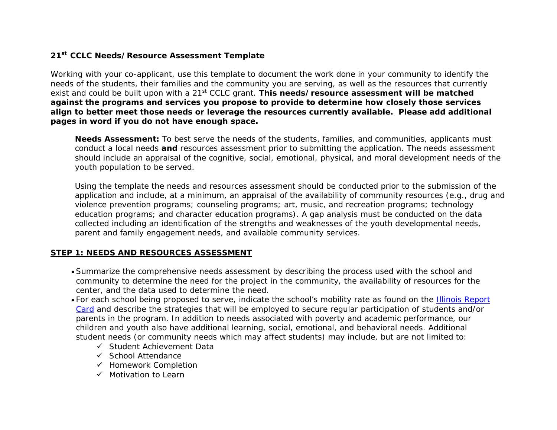## **21 CCLC Needs/Resource Assessment Template st**

Working with your co-applicant, use this template to document the work done in your community to identify the needs of the students, their families and the community you are serving, as well as the resources that currently exist and could be built upon with a <sup>21</sup>st CCLC grant. **This needs/resource assessment will be matched against the programs and services you propose to provide to determine how closely those services align to better meet those needs or leverage the resources currently available. Please add additional pages in word if you do not have enough space.** 

**Needs Assessment:** To best serve the needs of the students, families, and communities, applicants must conduct a local needs **and** resources assessment prior to submitting the application. The needs assessment should include an appraisal of the cognitive, social, emotional, physical, and moral development needs of the youth population to be served.

Using the template the needs and resources assessment should be conducted prior to the submission of the application and include, at a minimum, an appraisal of the availability of community resources (e.g., drug and violence prevention programs; counseling programs; art, music, and recreation programs; technology education programs; and character education programs). A gap analysis must be conducted on the data collected including an identification of the strengths and weaknesses of the youth developmental needs, parent and family engagement needs, and available community services.

## **STEP 1: NEEDS AND RESOURCES ASSESSMENT**

- $\bullet$  Summarize the comprehensive needs assessment by describing the process used with the school and community to determine the need for the project in the community, the availability of resources for the center, and the data used to determine the need.
- For each school being proposed to serve, indicate the school's mobility rate as found on the <u>Illinois Report</u> Card and describe the strategies that will be employed to secure regular participation of students and/or parents in the program. In addition to needs associated with poverty and academic performance, our children and youth also have additional learning, social, emotional, and behavioral needs. Additional student needs (or community needs which may affect students) may include, but are not limited to:
	- $\checkmark$  Student Achievement Data
	- $\checkmark$  School Attendance
	- ✓ Homework Completior
	- $\checkmark$  Motivation to Learr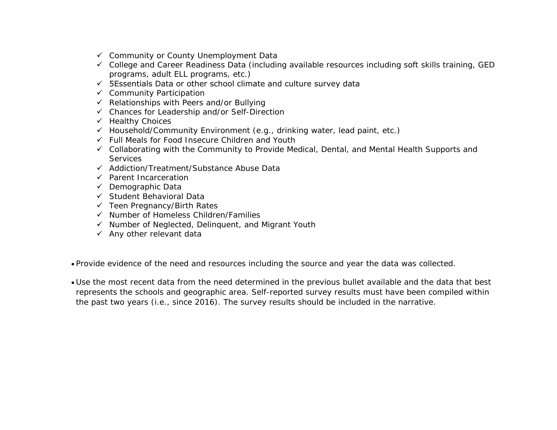- Community or County Unemployment Data
- College and Career Readiness Data (including available resources including soft skills training, GED programs, adult ELL programs, etc.)
- ← 5Essentials Data or other school climate and culture survey data
- **✓** Community Participation
- Relationships with Peers and/or Bullying
- ← Chances for Leadership and/or Self-Direction
- √ Healthy Choices
- √ Household/Community Environment (e.g., drinking water, lead paint, etc.)<br>∠ Full Meels far Feed Incesure Children and Vouth
- Full Meals for Food Insecure Children and Youth
- ← Collaborating with the Community to Provide Medical, Dental, and Mental Health Supports and<br>Canticas **Services**
- ← Addiction/Treatment/Substance Abuse Data
- ← Parent Incarceration
- **✓** Demographic Data
- Student Behavioral Data
- Teen Pregnancy/Birth Rates
- Number of Homeless Children/Families
- ✓ Number of Neglected, Delinquent, and Migrant Youth
- $\checkmark$  Any other relevant data
- Provide evidence of the need and resources including the source and year the data was collected.
- Use the most recent data from the need determined in the previous bullet available and the data that best represents the schools and geographic area. Self-reported survey results must have been compiled withinthe past two years (i.e., since 2016). The survey results should be included in the narrative.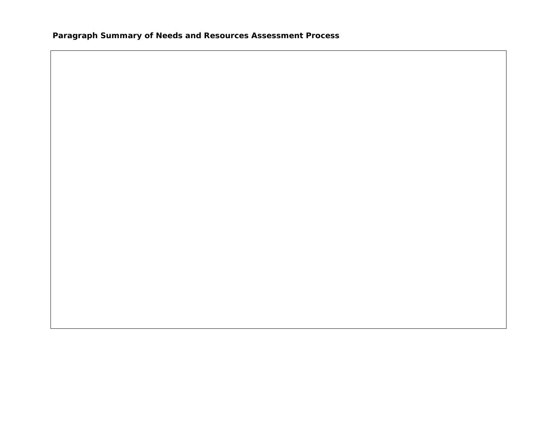**Paragraph Summary of Needs and Resources Assessment Process**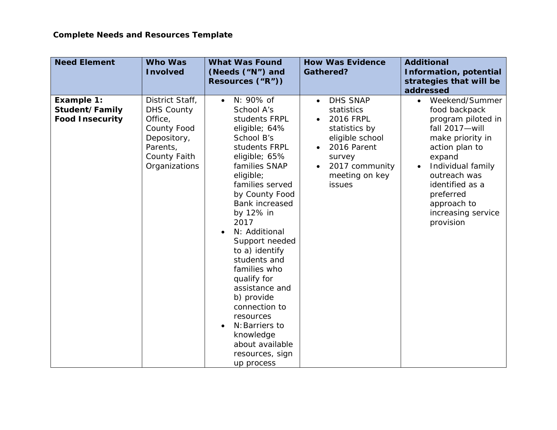| <b>Need Element</b>                                    | <b>Who Was</b><br><b>Involved</b>                                                                                          | <b>What Was Found</b><br>(Needs ("N") and<br>Resources ("R"))                                                                                                                                                                                                                                                                                                                                                                                                                                | <b>How Was Evidence</b><br><b>Gathered?</b>                                                                                                                                      | <b>Additional</b><br><b>Information, potential</b><br>strategies that will be<br>addressed                                                                                                                                                                               |
|--------------------------------------------------------|----------------------------------------------------------------------------------------------------------------------------|----------------------------------------------------------------------------------------------------------------------------------------------------------------------------------------------------------------------------------------------------------------------------------------------------------------------------------------------------------------------------------------------------------------------------------------------------------------------------------------------|----------------------------------------------------------------------------------------------------------------------------------------------------------------------------------|--------------------------------------------------------------------------------------------------------------------------------------------------------------------------------------------------------------------------------------------------------------------------|
| Example 1:<br>Student/Family<br><b>Food Insecurity</b> | District Staff,<br><b>DHS County</b><br>Office,<br>County Food<br>Depository,<br>Parents,<br>County Faith<br>Organizations | N: 90% of<br>$\bullet$<br>School A's<br>students FRPL<br>eligible; 64%<br>School B's<br>students FRPL<br>eligible; 65%<br>families SNAP<br>eligible;<br>families served<br>by County Food<br><b>Bank increased</b><br>by 12% in<br>2017<br>N: Additional<br>Support needed<br>to a) identify<br>students and<br>families who<br>qualify for<br>assistance and<br>b) provide<br>connection to<br>resources<br>N: Barriers to<br>knowledge<br>about available<br>resources, sign<br>up process | <b>DHS SNAP</b><br>$\bullet$<br>statistics<br><b>2016 FRPL</b><br>statistics by<br>eligible school<br>2016 Parent<br>survey<br>2017 community<br>meeting on key<br><i>issues</i> | Weekend/Summer<br>$\bullet$<br>food backpack<br>program piloted in<br>fall 2017-will<br>make priority in<br>action plan to<br>expand<br>Individual family<br>$\bullet$<br>outreach was<br>identified as a<br>preferred<br>approach to<br>increasing service<br>provision |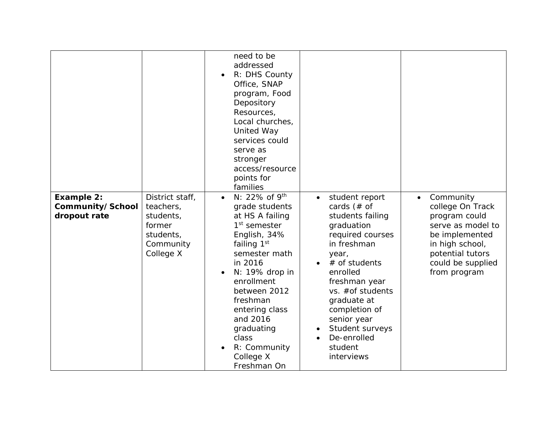| <b>Example 2:</b><br>Community/School<br>dropout rate | District staff,<br>teachers,<br>students,<br>former | need to be<br>addressed<br>R: DHS County<br>Office, SNAP<br>program, Food<br>Depository<br>Resources,<br>Local churches,<br>United Way<br>services could<br>serve as<br>stronger<br>access/resource<br>points for<br>families<br>$N: 22\%$ of $9^{th}$<br>$\bullet$<br>grade students<br>at HS A failing<br>$1st$ semester | student report<br>$\bullet$<br>cards $#$ of<br>students failing<br>graduation                                                                                                                                        | Community<br>$\bullet$<br>college On Track<br>program could<br>serve as model to           |
|-------------------------------------------------------|-----------------------------------------------------|----------------------------------------------------------------------------------------------------------------------------------------------------------------------------------------------------------------------------------------------------------------------------------------------------------------------------|----------------------------------------------------------------------------------------------------------------------------------------------------------------------------------------------------------------------|--------------------------------------------------------------------------------------------|
|                                                       | students,<br>Community<br>College X                 | English, 34%<br>failing 1st<br>semester math<br>in 2016<br>$N: 19\%$ drop in<br>enrollment<br>between 2012<br>freshman<br>entering class<br>and 2016<br>graduating<br>class<br>R: Community<br>College X<br>Freshman On                                                                                                    | required courses<br>in freshman<br>year,<br># of students<br>enrolled<br>freshman year<br>vs. #of students<br>graduate at<br>completion of<br>senior year<br>Student surveys<br>De-enrolled<br>student<br>interviews | be implemented<br>in high school,<br>potential tutors<br>could be supplied<br>from program |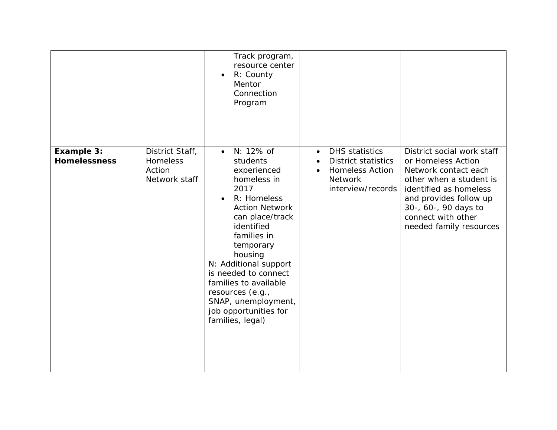|                                   |                                                        | Track program,<br>resource center<br>R: County<br>Mentor<br>Connection<br>Program                                                                                                                                                                                                                                                                          |                                                                                                                            |                                                                                                                                                                                                                                  |
|-----------------------------------|--------------------------------------------------------|------------------------------------------------------------------------------------------------------------------------------------------------------------------------------------------------------------------------------------------------------------------------------------------------------------------------------------------------------------|----------------------------------------------------------------------------------------------------------------------------|----------------------------------------------------------------------------------------------------------------------------------------------------------------------------------------------------------------------------------|
| Example 3:<br><b>Homelessness</b> | District Staff,<br>Homeless<br>Action<br>Network staff | N: 12% of<br>$\bullet$<br>students<br>experienced<br>homeless in<br>2017<br>R: Homeless<br><b>Action Network</b><br>can place/track<br>identified<br>families in<br>temporary<br>housing<br>N: Additional support<br>is needed to connect<br>families to available<br>resources (e.g.,<br>SNAP, unemployment,<br>job opportunities for<br>families, legal) | <b>DHS</b> statistics<br>$\bullet$<br><b>District statistics</b><br><b>Homeless Action</b><br>Network<br>interview/records | District social work staff<br>or Homeless Action<br>Network contact each<br>other when a student is<br>identified as homeless<br>and provides follow up<br>30-, 60-, 90 days to<br>connect with other<br>needed family resources |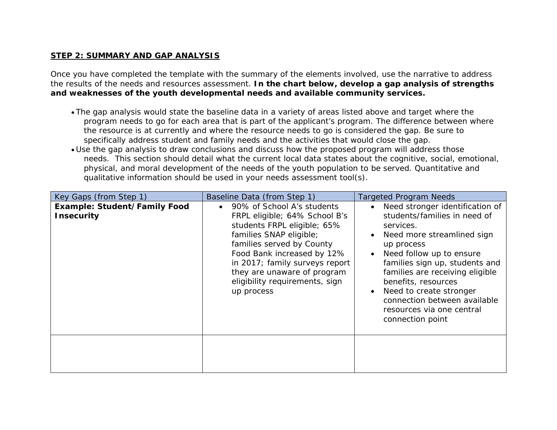## **STEP 2: SUMMARY AND GAP ANALYSIS**

Once you have completed the template with the summary of the elements involved, use the narrative to address the results of the needs and resources assessment. **In the chart below, develop a gap analysis of strengths and weaknesses of the youth developmental needs and available community services.**

- The gap analysis would state the baseline data in a variety of areas listed above and target where the program needs to go for each area that is part of the applicant's program. The difference between where the resource is at currently and where the resource needs to go is considered the gap. Be sure to specifically address student and family needs and the activities that would close the gap.
- Use the gap analysis to draw conclusions and discuss how the proposed program will address those needs. This section should detail what the current local data states about the cognitive, social, emotional, physical, and moral development of the needs of the youth population to be served. Quantitative and qualitative information should be used in your needs assessment tool(s).

| Key Gaps (from Step 1)                            | Baseline Data (from Step 1)                                                                                                                                                                                                                                                                       | <b>Targeted Program Needs</b>                                                                                                                                                                                                                                                                                                                                |
|---------------------------------------------------|---------------------------------------------------------------------------------------------------------------------------------------------------------------------------------------------------------------------------------------------------------------------------------------------------|--------------------------------------------------------------------------------------------------------------------------------------------------------------------------------------------------------------------------------------------------------------------------------------------------------------------------------------------------------------|
| Example: Student/Family Food<br><b>Insecurity</b> | 90% of School A's students<br>FRPL eligible; 64% School B's<br>students FRPL eligible; 65%<br>families SNAP eligible;<br>families served by County<br>Food Bank increased by 12%<br>in 2017; family surveys report<br>they are unaware of program<br>eligibility requirements, sign<br>up process | Need stronger identification of<br>students/families in need of<br>services.<br>Need more streamlined sign<br>up process<br>Need follow up to ensure<br>families sign up, students and<br>families are receiving eligible<br>benefits, resources<br>Need to create stronger<br>connection between available<br>resources via one central<br>connection point |
|                                                   |                                                                                                                                                                                                                                                                                                   |                                                                                                                                                                                                                                                                                                                                                              |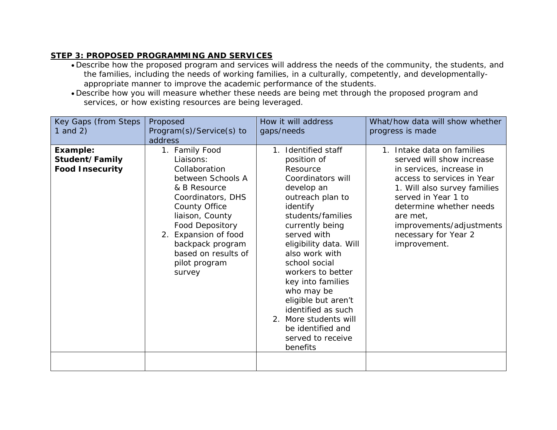## **STEP 3: PROPOSED PROGRAMMING AND SERVICES**

- $\bullet$  Describe how the proposed program and services will address the needs of the community, the students, anc the families, including the needs of working families, in a culturally, competently, and developmentallyappropriate manner to improve the academic performance of the students.
- Describe how you will measure whether these needs are being met through the proposed program and services, or how existing resources are being leveraged.

| Key Gaps (from Steps<br>1 and $2)$                   | Proposed<br>Program(s)/Service(s) to<br>address                                                                                                                                                                                                                           | How it will address<br>gaps/needs                                                                                                                                                                                                                                                                                                                                                                                                         | What/how data will show whether<br>progress is made                                                                                                                                                                                                                                 |
|------------------------------------------------------|---------------------------------------------------------------------------------------------------------------------------------------------------------------------------------------------------------------------------------------------------------------------------|-------------------------------------------------------------------------------------------------------------------------------------------------------------------------------------------------------------------------------------------------------------------------------------------------------------------------------------------------------------------------------------------------------------------------------------------|-------------------------------------------------------------------------------------------------------------------------------------------------------------------------------------------------------------------------------------------------------------------------------------|
| Example:<br>Student/Family<br><b>Food Insecurity</b> | 1. Family Food<br>Liaisons:<br>Collaboration<br>between Schools A<br>& B Resource<br>Coordinators, DHS<br><b>County Office</b><br>liaison, County<br><b>Food Depository</b><br>2. Expansion of food<br>backpack program<br>based on results of<br>pilot program<br>survey | Identified staff<br>$\mathcal{I}$ .<br>position of<br>Resource<br>Coordinators will<br>develop an<br>outreach plan to<br>identify<br>students/families<br>currently being<br>served with<br>eligibility data. Will<br>also work with<br>school social<br>workers to better<br>key into families<br>who may be<br>eligible but aren't<br>identified as such<br>2. More students will<br>be identified and<br>served to receive<br>benefits | 1. Intake data on families<br>served will show increase<br>in services, increase in<br>access to services in Year<br>1. Will also survey families<br>served in Year 1 to<br>determine whether needs<br>are met,<br>improvements/adjustments<br>necessary for Year 2<br>improvement. |
|                                                      |                                                                                                                                                                                                                                                                           |                                                                                                                                                                                                                                                                                                                                                                                                                                           |                                                                                                                                                                                                                                                                                     |